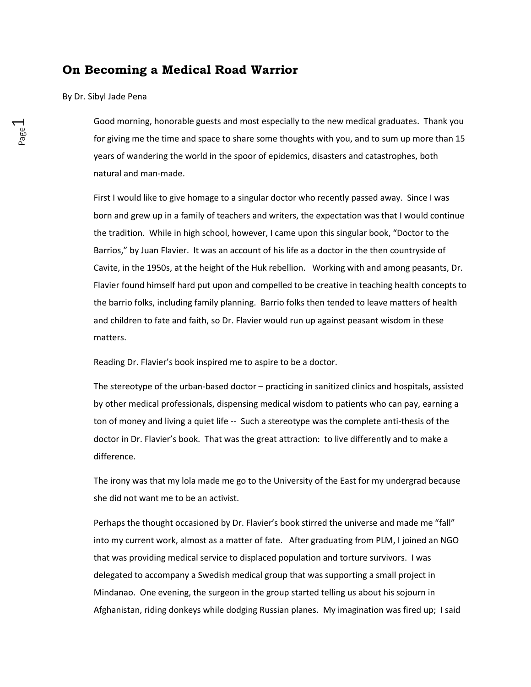# **On Becoming a Medical Road Warrior**

## By Dr. Sibyl Jade Pena

Good morning, honorable guests and most especially to the new medical graduates. Thank you for giving me the time and space to share some thoughts with you, and to sum up more than 15 years of wandering the world in the spoor of epidemics, disasters and catastrophes, both natural and man-made.

First I would like to give homage to a singular doctor who recently passed away. Since I was born and grew up in a family of teachers and writers, the expectation was that I would continue the tradition. While in high school, however, I came upon this singular book, "Doctor to the Barrios," by Juan Flavier. It was an account of his life as a doctor in the then countryside of Cavite, in the 1950s, at the height of the Huk rebellion. Working with and among peasants, Dr. Flavier found himself hard put upon and compelled to be creative in teaching health concepts to the barrio folks, including family planning. Barrio folks then tended to leave matters of health and children to fate and faith, so Dr. Flavier would run up against peasant wisdom in these matters.

Reading Dr. Flavier's book inspired me to aspire to be a doctor.

The stereotype of the urban-based doctor – practicing in sanitized clinics and hospitals, assisted by other medical professionals, dispensing medical wisdom to patients who can pay, earning a ton of money and living a quiet life -- Such a stereotype was the complete anti-thesis of the doctor in Dr. Flavier's book. That was the great attraction: to live differently and to make a difference.

The irony was that my lola made me go to the University of the East for my undergrad because she did not want me to be an activist.

Perhaps the thought occasioned by Dr. Flavier's book stirred the universe and made me "fall" into my current work, almost as a matter of fate. After graduating from PLM, I joined an NGO that was providing medical service to displaced population and torture survivors. I was delegated to accompany a Swedish medical group that was supporting a small project in Mindanao. One evening, the surgeon in the group started telling us about his sojourn in Afghanistan, riding donkeys while dodging Russian planes. My imagination was fired up; I said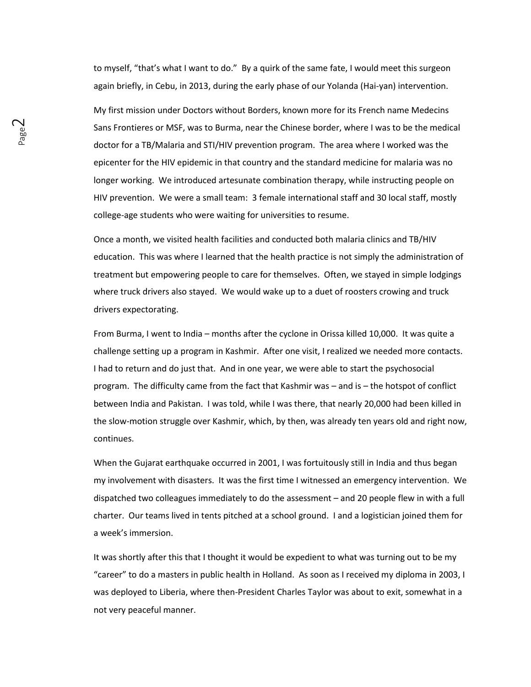to myself, "that's what I want to do." By a quirk of the same fate, I would meet this surgeon again briefly, in Cebu, in 2013, during the early phase of our Yolanda (Hai-yan) intervention.

My first mission under Doctors without Borders, known more for its French name Medecins Sans Frontieres or MSF, was to Burma, near the Chinese border, where I was to be the medical doctor for a TB/Malaria and STI/HIV prevention program. The area where I worked was the epicenter for the HIV epidemic in that country and the standard medicine for malaria was no longer working. We introduced artesunate combination therapy, while instructing people on HIV prevention. We were a small team: 3 female international staff and 30 local staff, mostly college-age students who were waiting for universities to resume.

Once a month, we visited health facilities and conducted both malaria clinics and TB/HIV education. This was where I learned that the health practice is not simply the administration of treatment but empowering people to care for themselves. Often, we stayed in simple lodgings where truck drivers also stayed. We would wake up to a duet of roosters crowing and truck drivers expectorating.

From Burma, I went to India – months after the cyclone in Orissa killed 10,000. It was quite a challenge setting up a program in Kashmir. After one visit, I realized we needed more contacts. I had to return and do just that. And in one year, we were able to start the psychosocial program. The difficulty came from the fact that Kashmir was – and is – the hotspot of conflict between India and Pakistan. I was told, while I was there, that nearly 20,000 had been killed in the slow-motion struggle over Kashmir, which, by then, was already ten years old and right now, continues.

When the Gujarat earthquake occurred in 2001, I was fortuitously still in India and thus began my involvement with disasters. It was the first time I witnessed an emergency intervention. We dispatched two colleagues immediately to do the assessment – and 20 people flew in with a full charter. Our teams lived in tents pitched at a school ground. I and a logistician joined them for a week's immersion.

It was shortly after this that I thought it would be expedient to what was turning out to be my "career" to do a masters in public health in Holland. As soon as I received my diploma in 2003, I was deployed to Liberia, where then-President Charles Taylor was about to exit, somewhat in a not very peaceful manner.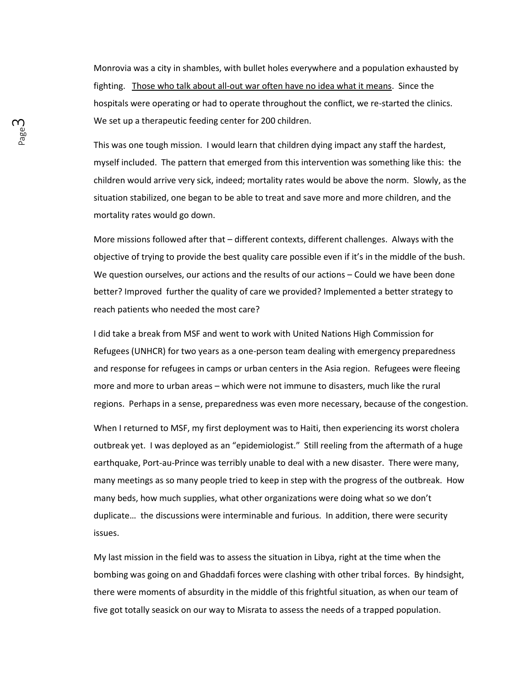Monrovia was a city in shambles, with bullet holes everywhere and a population exhausted by fighting. Those who talk about all-out war often have no idea what it means. Since the hospitals were operating or had to operate throughout the conflict, we re-started the clinics. We set up a therapeutic feeding center for 200 children.

This was one tough mission. I would learn that children dying impact any staff the hardest, myself included. The pattern that emerged from this intervention was something like this: the children would arrive very sick, indeed; mortality rates would be above the norm. Slowly, as the situation stabilized, one began to be able to treat and save more and more children, and the mortality rates would go down.

More missions followed after that – different contexts, different challenges. Always with the objective of trying to provide the best quality care possible even if it's in the middle of the bush. We question ourselves, our actions and the results of our actions – Could we have been done better? Improved further the quality of care we provided? Implemented a better strategy to reach patients who needed the most care?

I did take a break from MSF and went to work with United Nations High Commission for Refugees (UNHCR) for two years as a one-person team dealing with emergency preparedness and response for refugees in camps or urban centers in the Asia region. Refugees were fleeing more and more to urban areas – which were not immune to disasters, much like the rural regions. Perhaps in a sense, preparedness was even more necessary, because of the congestion.

When I returned to MSF, my first deployment was to Haiti, then experiencing its worst cholera outbreak yet. I was deployed as an "epidemiologist." Still reeling from the aftermath of a huge earthquake, Port-au-Prince was terribly unable to deal with a new disaster. There were many, many meetings as so many people tried to keep in step with the progress of the outbreak. How many beds, how much supplies, what other organizations were doing what so we don't duplicate… the discussions were interminable and furious. In addition, there were security issues.

My last mission in the field was to assess the situation in Libya, right at the time when the bombing was going on and Ghaddafi forces were clashing with other tribal forces. By hindsight, there were moments of absurdity in the middle of this frightful situation, as when our team of five got totally seasick on our way to Misrata to assess the needs of a trapped population.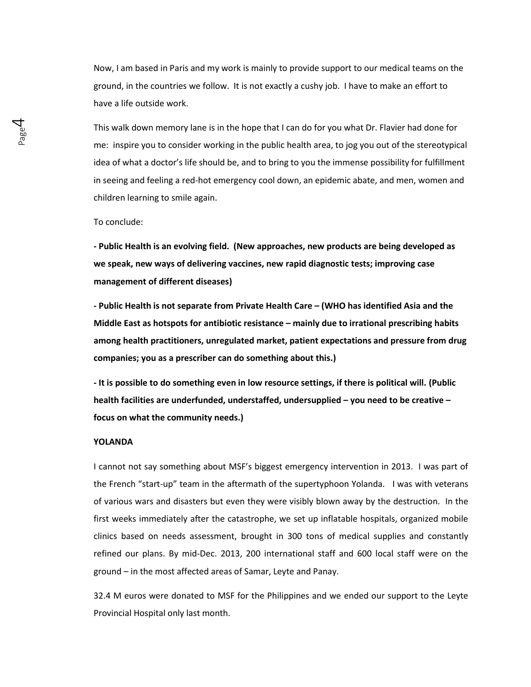Now, I am based in Paris and my work is mainly to provide support to our medical teams on the ground, in the countries we follow. It is not exactly a cushy job. I have to make an effort to have a life outside work.

This walk down memory lane is in the hope that I can do for you what Dr. Flavier had done for me: inspire you to consider working in the public health area, to jog you out of the stereotypical idea of what a doctor's life should be, and to bring to you the immense possibility for fulfillment in seeing and feeling a red-hot emergency cool down, an epidemic abate, and men, women and children learning to smile again.

#### To conclude:

**- Public Health is an evolving field. (New approaches, new products are being developed as we speak, new ways of delivering vaccines, new rapid diagnostic tests; improving case management of different diseases)**

**- Public Health is not separate from Private Health Care – (WHO has identified Asia and the Middle East as hotspots for antibiotic resistance – mainly due to irrational prescribing habits among health practitioners, unregulated market, patient expectations and pressure from drug companies; you as a prescriber can do something about this.)**

**- It is possible to do something even in low resource settings, if there is political will. (Public health facilities are underfunded, understaffed, undersupplied – you need to be creative – focus on what the community needs.)**

### **YOLANDA**

I cannot not say something about MSF's biggest emergency intervention in 2013. I was part of the French "start-up" team in the aftermath of the supertyphoon Yolanda. I was with veterans of various wars and disasters but even they were visibly blown away by the destruction. In the first weeks immediately after the catastrophe, we set up inflatable hospitals, organized mobile clinics based on needs assessment, brought in 300 tons of medical supplies and constantly refined our plans. By mid-Dec. 2013, 200 international staff and 600 local staff were on the ground – in the most affected areas of Samar, Leyte and Panay.

32.4 M euros were donated to MSF for the Philippines and we ended our support to the Leyte Provincial Hospital only last month.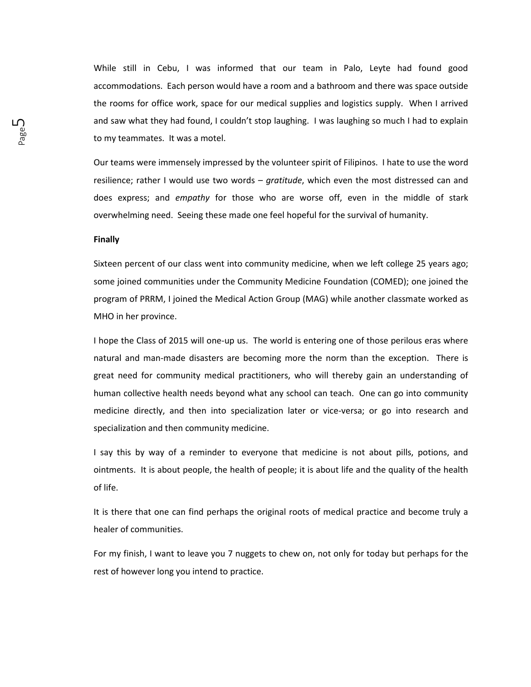While still in Cebu, I was informed that our team in Palo, Leyte had found good accommodations. Each person would have a room and a bathroom and there was space outside the rooms for office work, space for our medical supplies and logistics supply. When I arrived and saw what they had found, I couldn't stop laughing. I was laughing so much I had to explain to my teammates. It was a motel.

Our teams were immensely impressed by the volunteer spirit of Filipinos. I hate to use the word resilience; rather I would use two words – *gratitude*, which even the most distressed can and does express; and *empathy* for those who are worse off, even in the middle of stark overwhelming need. Seeing these made one feel hopeful for the survival of humanity.

### **Finally**

Sixteen percent of our class went into community medicine, when we left college 25 years ago; some joined communities under the Community Medicine Foundation (COMED); one joined the program of PRRM, I joined the Medical Action Group (MAG) while another classmate worked as MHO in her province.

I hope the Class of 2015 will one-up us. The world is entering one of those perilous eras where natural and man-made disasters are becoming more the norm than the exception. There is great need for community medical practitioners, who will thereby gain an understanding of human collective health needs beyond what any school can teach. One can go into community medicine directly, and then into specialization later or vice-versa; or go into research and specialization and then community medicine.

I say this by way of a reminder to everyone that medicine is not about pills, potions, and ointments. It is about people, the health of people; it is about life and the quality of the health of life.

It is there that one can find perhaps the original roots of medical practice and become truly a healer of communities.

For my finish, I want to leave you 7 nuggets to chew on, not only for today but perhaps for the rest of however long you intend to practice.